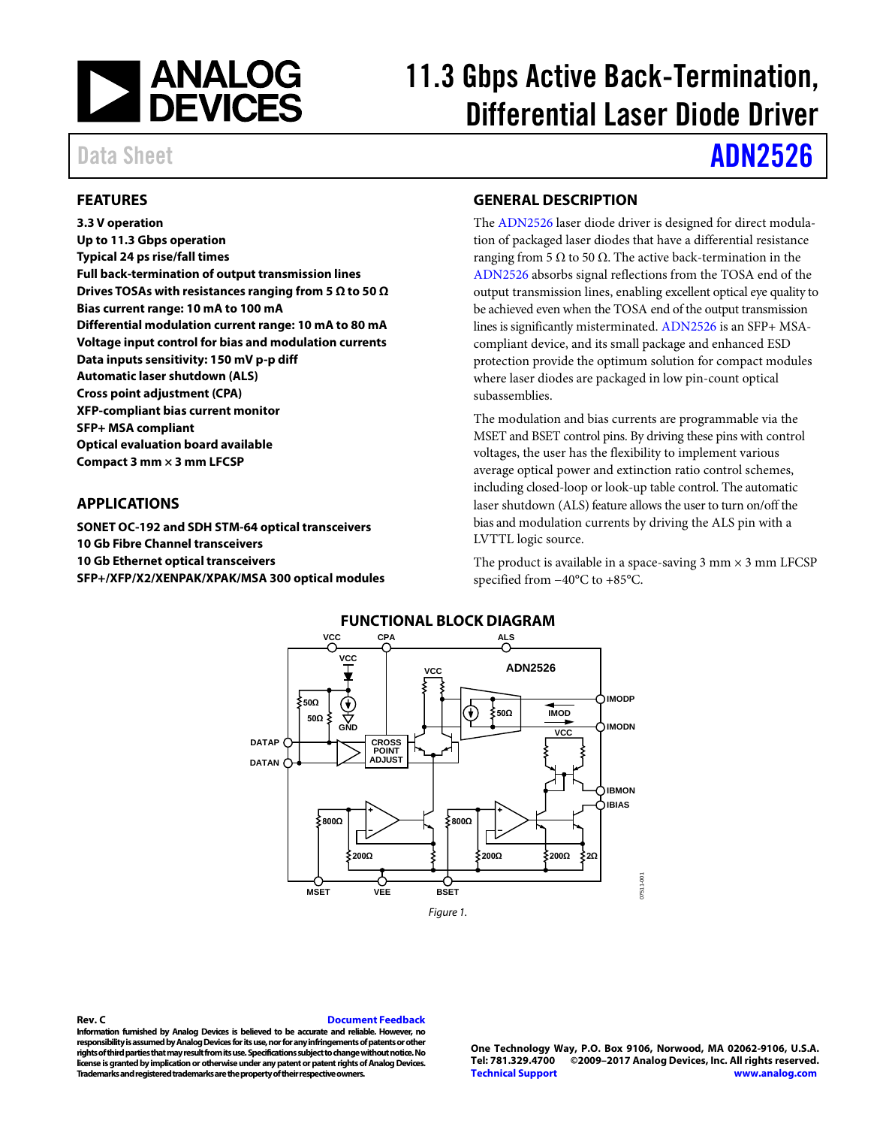

# 11.3 Gbps Active Back-Termination, Differential Laser Diode Driver

Data Sheet **[ADN2526](http://www.analog.com/ADN2526?doc=ADN2526.pdf)** 

### <span id="page-0-0"></span>**FEATURES**

**3.3 V operation Up to 11.3 Gbps operation Typical 24 ps rise/fall times Full back-termination of output transmission lines Drives TOSAs with resistances ranging from 5 Ω to 50 Ω Bias current range: 10 mA to 100 mA Differential modulation current range: 10 mA to 80 mA Voltage input control for bias and modulation currents Data inputs sensitivity: 150 mV p-p diff Automatic laser shutdown (ALS) Cross point adjustment (CPA) XFP-compliant bias current monitor SFP+ MSA compliant Optical evaluation board available Compact 3 mm × 3 mm LFCSP**

#### <span id="page-0-1"></span>**APPLICATIONS**

<span id="page-0-3"></span>**SONET OC-192 and SDH STM-64 optical transceivers 10 Gb Fibre Channel transceivers 10 Gb Ethernet optical transceivers SFP+/XFP/X2/XENPAK/XPAK/MSA 300 optical modules**

#### <span id="page-0-2"></span>**GENERAL DESCRIPTION**

The [ADN2526](http://www.analog.com/ADN2526?doc=ADN2526.pdf) laser diode driver is designed for direct modulation of packaged laser diodes that have a differential resistance ranging from 5 Ω to 50  $Ω$ . The active back-termination in the [ADN2526](http://www.analog.com/ADN2526?doc=ADN2526.pdf) absorbs signal reflections from the TOSA end of the output transmission lines, enabling excellent optical eye quality to be achieved even when the TOSA end of the output transmission lines is significantly misterminated. [ADN2526](http://www.analog.com/ADN2526?doc=ADN2526.pdf) is an SFP+ MSAcompliant device, and its small package and enhanced ESD protection provide the optimum solution for compact modules where laser diodes are packaged in low pin-count optical subassemblies.

The modulation and bias currents are programmable via the MSET and BSET control pins. By driving these pins with control voltages, the user has the flexibility to implement various average optical power and extinction ratio control schemes, including closed-loop or look-up table control. The automatic laser shutdown (ALS) feature allows the user to turn on/off the bias and modulation currents by driving the ALS pin with a LVTTL logic source.

The product is available in a space-saving  $3$  mm  $\times$   $3$  mm LFCSP specified from −40°C to +85°C.



<span id="page-0-4"></span>**Rev. C [Document Feedback](https://form.analog.com/Form_Pages/feedback/documentfeedback.aspx?doc=ADN2526.pdf&product=ADN2526&rev=c) Information furnished by Analog Devices is believed to be accurate and reliable. However, no responsibility is assumed by Analog Devices for its use, nor for any infringements of patents or other rights of third parties that may result from its use. Specifications subject to change without notice. No license is granted by implication or otherwise under any patent or patent rights of Analog Devices. Trademarks and registered trademarks are the property of their respective owners.**

**One Technology Way, P.O. Box 9106, Norwood, MA 02062-9106, U.S.A. Tel: 781.329.4700 ©2009–2017 Analog Devices, Inc. All rights reserved. [Technical Support](http://www.analog.com/en/content/technical_support_page/fca.html) [www.analog.com](http://www.analog.com/)**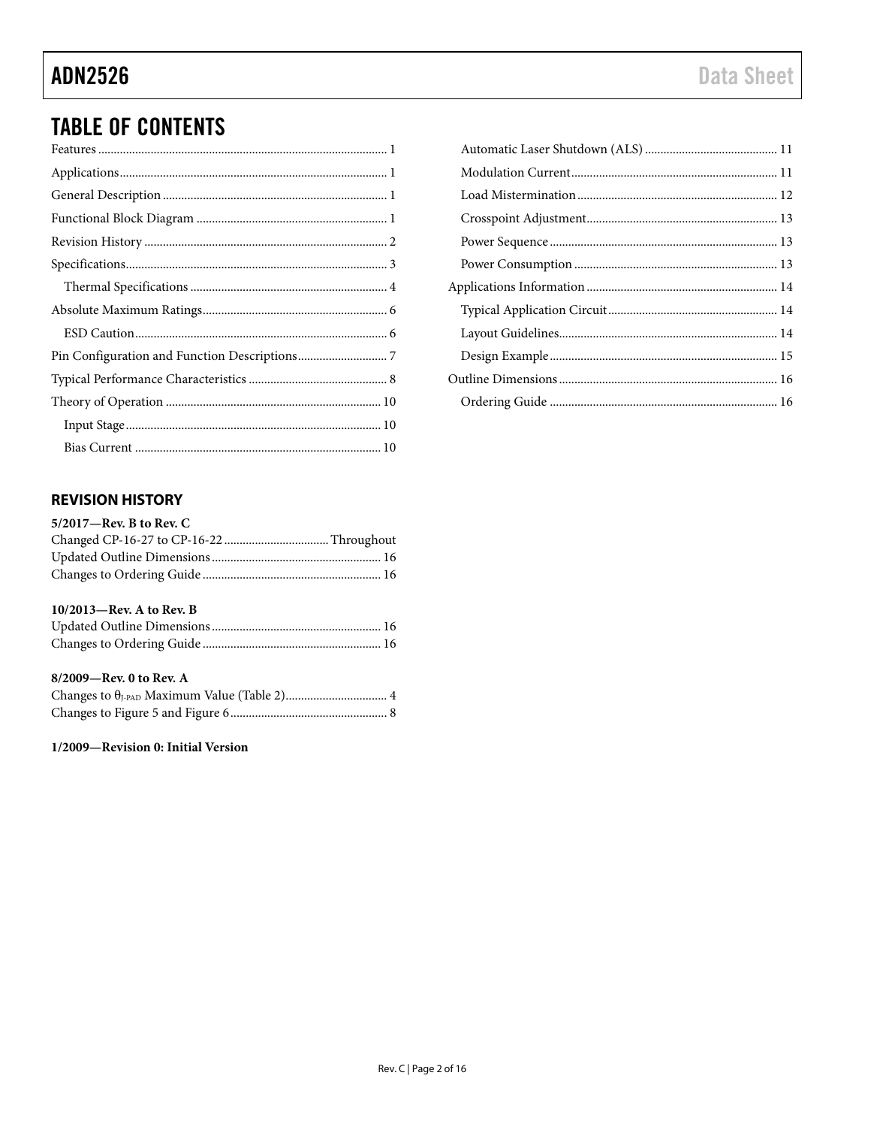## **TABLE OF CONTENTS**

### <span id="page-1-0"></span>**REVISION HISTORY**

| $5/2017$ —Rev. B to Rev. C  |  |
|-----------------------------|--|
|                             |  |
|                             |  |
|                             |  |
| $10/2013$ —Rev. A to Rev. B |  |
|                             |  |
|                             |  |
| $8/2009$ —Rev. 0 to Rev. A  |  |
|                             |  |
|                             |  |

1/2009-Revision 0: Initial Version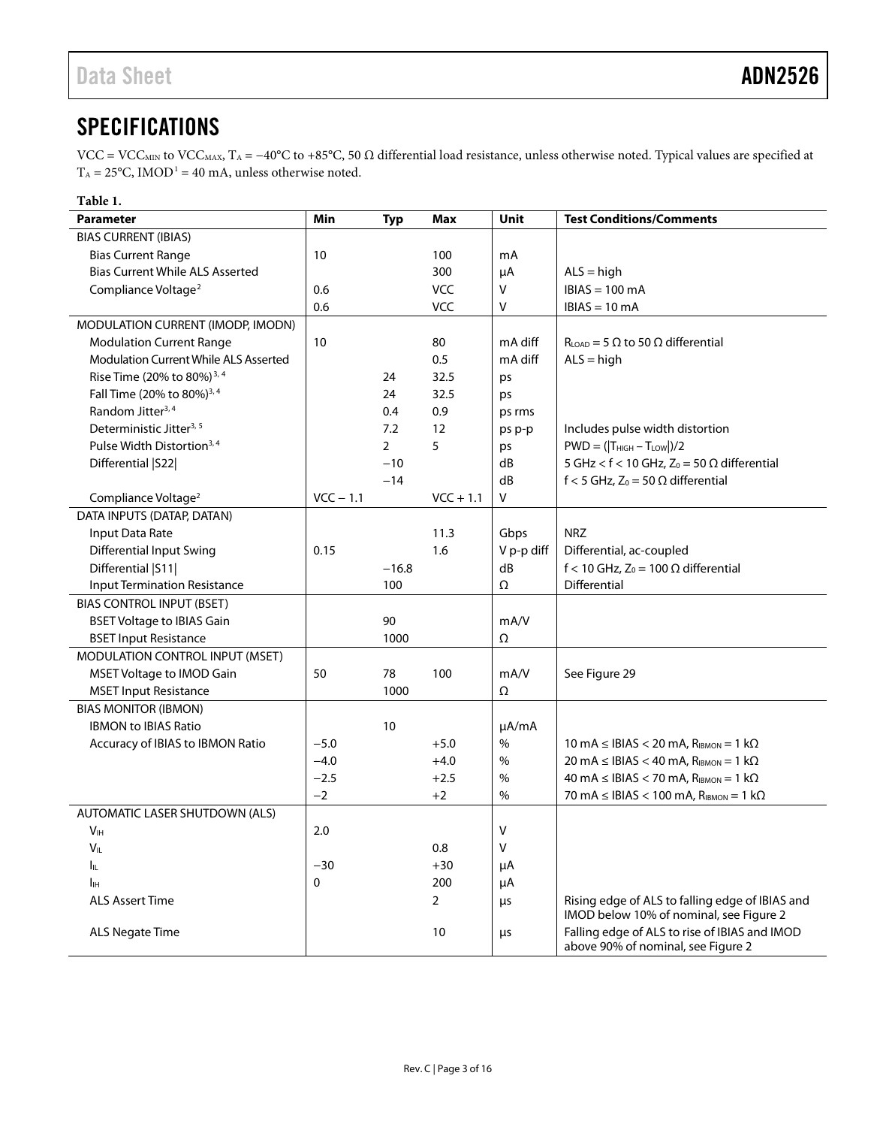## <span id="page-2-0"></span>**SPECIFICATIONS**

VCC = VCC<sub>MIN</sub> to VCC<sub>MAX</sub>, T<sub>A</sub> = −40°C to +85°C, 50 Ω differential load resistance, unless otherwise noted. Typical values are specified at  $T_A = 25^{\circ}$ C, IMOD<sup>1</sup> = 40 mA, unless otherwise noted.

### <span id="page-2-1"></span>**Table 1.**

| Parameter                                    | Min         | <b>Typ</b>     | <b>Max</b>     | Unit       | <b>Test Conditions/Comments</b>                                                     |
|----------------------------------------------|-------------|----------------|----------------|------------|-------------------------------------------------------------------------------------|
| <b>BIAS CURRENT (IBIAS)</b>                  |             |                |                |            |                                                                                     |
| <b>Bias Current Range</b>                    | 10          |                | 100            | mA         |                                                                                     |
| <b>Bias Current While ALS Asserted</b>       |             |                | 300            | μA         | $ALS = high$                                                                        |
| Compliance Voltage <sup>2</sup>              | 0.6         |                | <b>VCC</b>     | V          | $IBIAS = 100 mA$                                                                    |
|                                              | 0.6         |                | <b>VCC</b>     | V          | $IBIAS = 10 mA$                                                                     |
| MODULATION CURRENT (IMODP, IMODN)            |             |                |                |            |                                                                                     |
| <b>Modulation Current Range</b>              | 10          |                | 80             | mA diff    | $RLOAD$ = 5 $\Omega$ to 50 $\Omega$ differential                                    |
| <b>Modulation Current While ALS Asserted</b> |             |                | 0.5            | mA diff    | $ALS = high$                                                                        |
| Rise Time (20% to 80%) <sup>3, 4</sup>       |             | 24             | 32.5           | ps         |                                                                                     |
| Fall Time (20% to 80%) <sup>3,4</sup>        |             | 24             | 32.5           | ps         |                                                                                     |
| Random Jitter <sup>3, 4</sup>                |             | 0.4            | 0.9            | ps rms     |                                                                                     |
| Deterministic Jitter <sup>3, 5</sup>         |             | 7.2            | 12             | ps p-p     | Includes pulse width distortion                                                     |
| Pulse Width Distortion <sup>3,4</sup>        |             | $\overline{2}$ | 5              | ps         | $PWD = ( T_{HIGH} - T_{LOW} )/2$                                                    |
| Differential   S22                           |             | $-10$          |                | dB         | 5 GHz < $f$ < 10 GHz, Z <sub>0</sub> = 50 $\Omega$ differential                     |
|                                              |             | $-14$          |                | dB         | f < 5 GHz, Z <sub>0</sub> = 50 $\Omega$ differential                                |
| Compliance Voltage <sup>2</sup>              | $VCC - 1.1$ |                | $VCC + 1.1$    | V          |                                                                                     |
| DATA INPUTS (DATAP, DATAN)                   |             |                |                |            |                                                                                     |
| Input Data Rate                              |             |                | 11.3           | Gbps       | <b>NRZ</b>                                                                          |
| <b>Differential Input Swing</b>              | 0.15        |                | 1.6            | V p-p diff | Differential, ac-coupled                                                            |
| Differential   S11                           |             | $-16.8$        |                | dB         | f < 10 GHz, $Z_0$ = 100 $\Omega$ differential                                       |
| <b>Input Termination Resistance</b>          |             | 100            |                | Ω          | Differential                                                                        |
| <b>BIAS CONTROL INPUT (BSET)</b>             |             |                |                |            |                                                                                     |
| <b>BSET Voltage to IBIAS Gain</b>            |             | 90             |                | mA/V       |                                                                                     |
| <b>BSET Input Resistance</b>                 |             | 1000           |                | Ω          |                                                                                     |
| MODULATION CONTROL INPUT (MSET)              |             |                |                |            |                                                                                     |
| MSET Voltage to IMOD Gain                    | 50          | 78             | 100            | mA/V       | See Figure 29                                                                       |
| <b>MSET Input Resistance</b>                 |             | 1000           |                | Ω          |                                                                                     |
| <b>BIAS MONITOR (IBMON)</b>                  |             |                |                |            |                                                                                     |
| <b>IBMON to IBIAS Ratio</b>                  |             | 10             |                | µA/mA      |                                                                                     |
| Accuracy of IBIAS to IBMON Ratio             | $-5.0$      |                | $+5.0$         | $\%$       | 10 mA $\leq$ IBIAS $<$ 20 mA, R <sub>IBMON</sub> = 1 k $\Omega$                     |
|                                              | $-4.0$      |                | $+4.0$         | $\%$       | 20 mA $\leq$ IBIAS $<$ 40 mA, R <sub>IBMON</sub> = 1 k $\Omega$                     |
|                                              | $-2.5$      |                | $+2.5$         | $\%$       | 40 mA $\leq$ IBIAS $<$ 70 mA, R <sub>IBMON</sub> = 1 k $\Omega$                     |
|                                              | $-2$        |                | $+2$           | %          | 70 mA $\leq$ IBIAS $<$ 100 mA, R <sub>IBMON</sub> = 1 k $\Omega$                    |
| AUTOMATIC LASER SHUTDOWN (ALS)               |             |                |                |            |                                                                                     |
| V <sub>IH</sub>                              | 2.0         |                |                | V          |                                                                                     |
| Vĩl                                          |             |                | 0.8            | v          |                                                                                     |
| Ιı                                           | $-30$       |                | $+30$          | μA         |                                                                                     |
| Iн                                           | 0           |                | 200            | μA         |                                                                                     |
| <b>ALS Assert Time</b>                       |             |                | $\overline{2}$ | μs         | Rising edge of ALS to falling edge of IBIAS and                                     |
|                                              |             |                |                |            | IMOD below 10% of nominal, see Figure 2                                             |
| <b>ALS Negate Time</b>                       |             |                | 10             | μs         | Falling edge of ALS to rise of IBIAS and IMOD<br>above 90% of nominal, see Figure 2 |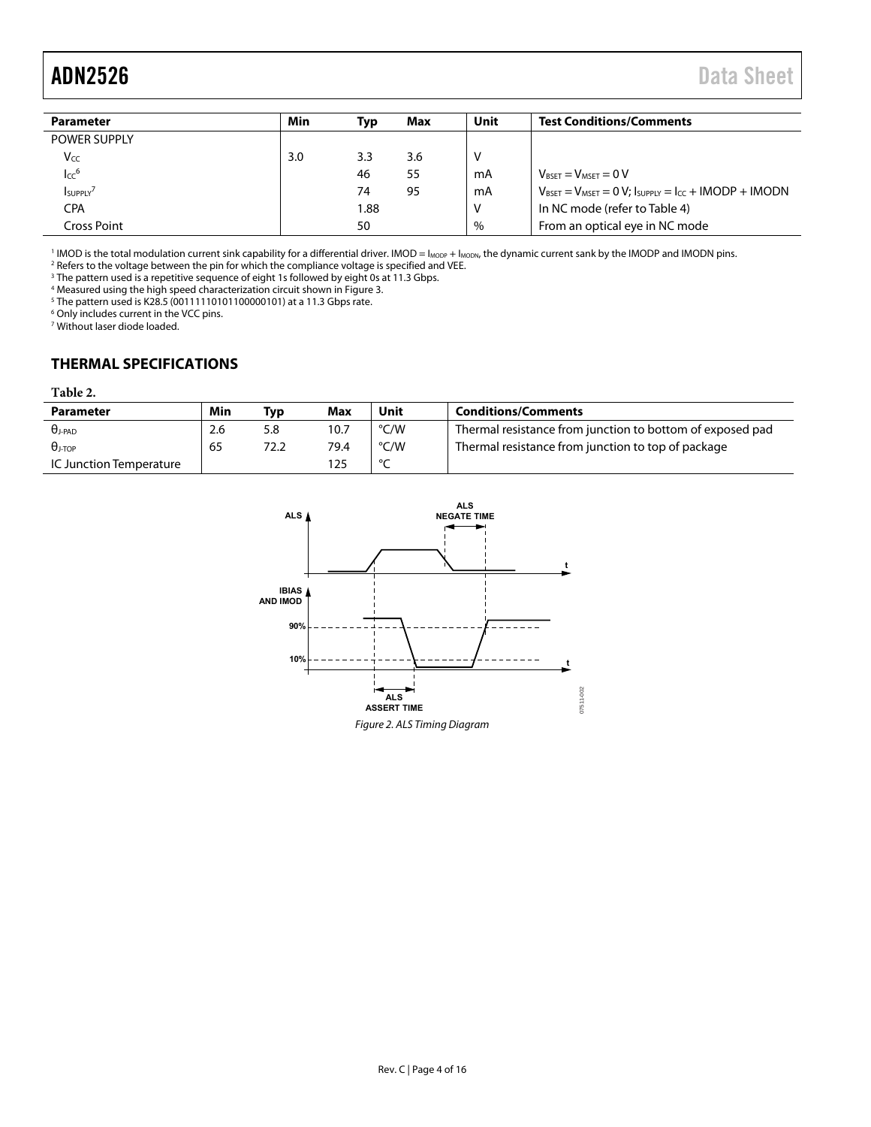## <span id="page-3-2"></span>ADN2526 Data Sheet

| Min | Тур  | Max | Unit | <b>Test Conditions/Comments</b>                                                       |
|-----|------|-----|------|---------------------------------------------------------------------------------------|
|     |      |     |      |                                                                                       |
| 3.0 | 3.3  | 3.6 | ν    |                                                                                       |
|     | 46   | 55  | mA   | $V_{RSET} = V_{MSET} = 0 V$                                                           |
|     | 74   | 95  | mA   | $V_{\text{BSET}} = V_{\text{MSET}} = 0 V$ ; Isupply = I <sub>CC</sub> + IMODP + IMODN |
|     | 1.88 |     | ۷    | In NC mode (refer to Table 4)                                                         |
|     | 50   |     | $\%$ | From an optical eye in NC mode                                                        |
|     |      |     |      |                                                                                       |

 $^{1}$  IMOD is the total modulation current sink capability for a differential driver. IMOD = I<sub>MODP</sub> + I<sub>MODN</sub>, the dynamic current sank by the IMODP and IMODN pins.<br><sup>2</sup> Befers to the voltage between the pin for which the

<sup>2</sup> Refers to the voltage between the pin for which the compliance voltage is specified and VEE.<br><sup>3</sup> The pattern used is a repetitive sequence of eight 1s followed by eight 0s at 11.3 Gbps.<br><sup>4</sup> Measured using the bigh spee

<sup>4</sup> Measured using the high speed characterization circuit shown in Figure 3.<br><sup>5</sup> The pattern used is K28.5 (00111110101100000101) at a 11.3 Ghns rate.

 $^5$  The pattern used is K28.5 (00111110101100000101) at a 11.3 Gbps rate.<br> $^6$  Only includes current in the VCC pins.

7 Without laser diode loaded.

### <span id="page-3-0"></span>**THERMAL SPECIFICATIONS**

#### <span id="page-3-3"></span>**Table 2.**

| <b>Parameter</b>        | Min | Tvp  | Max  | Unit   | <b>Conditions/Comments</b>                                |
|-------------------------|-----|------|------|--------|-----------------------------------------------------------|
| $\theta$ j-PAD          | 2.6 | 5.8  | 10.7 | °C/W   | Thermal resistance from junction to bottom of exposed pad |
| $\theta$ J-TOP          | 65  | 72.2 | 79.4 | °C/W   | Thermal resistance from junction to top of package        |
| IC Junction Temperature |     |      | l 25 | $\sim$ |                                                           |

<span id="page-3-1"></span>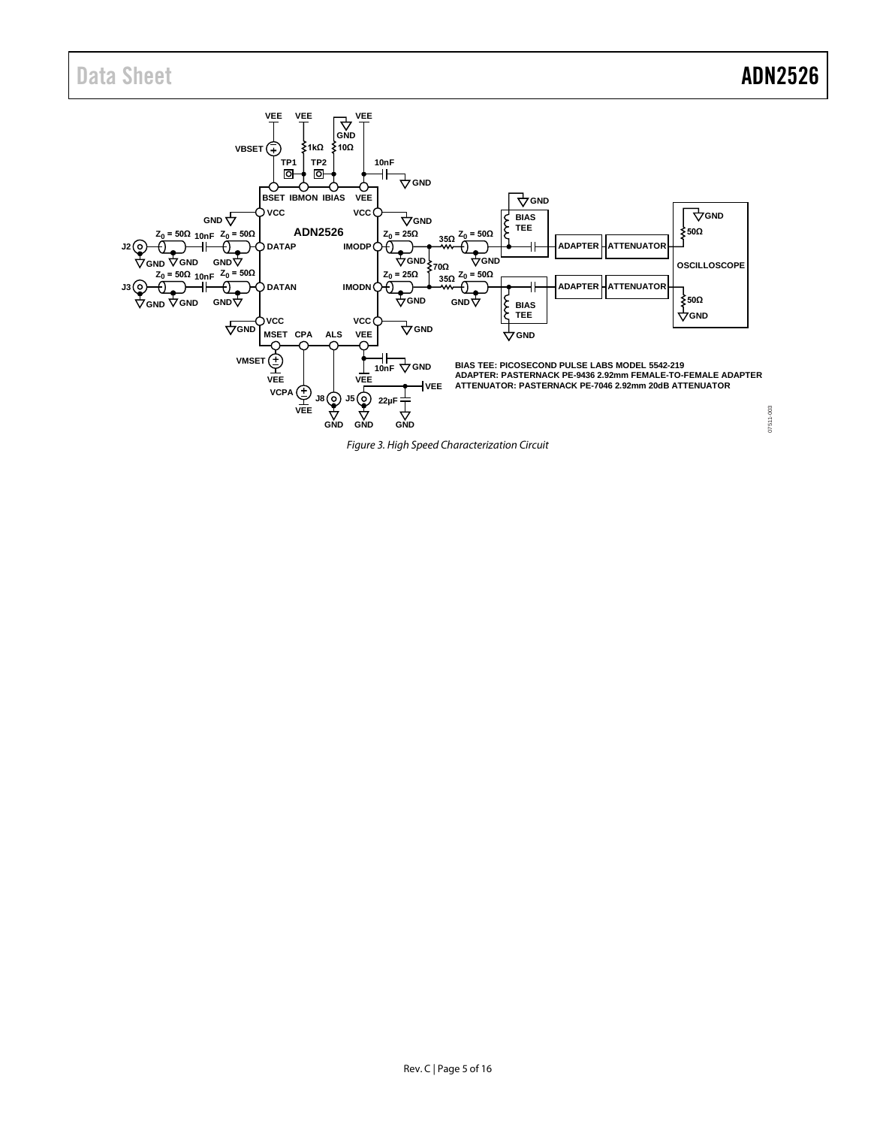### Data Sheet **ADN2526**

<span id="page-4-0"></span>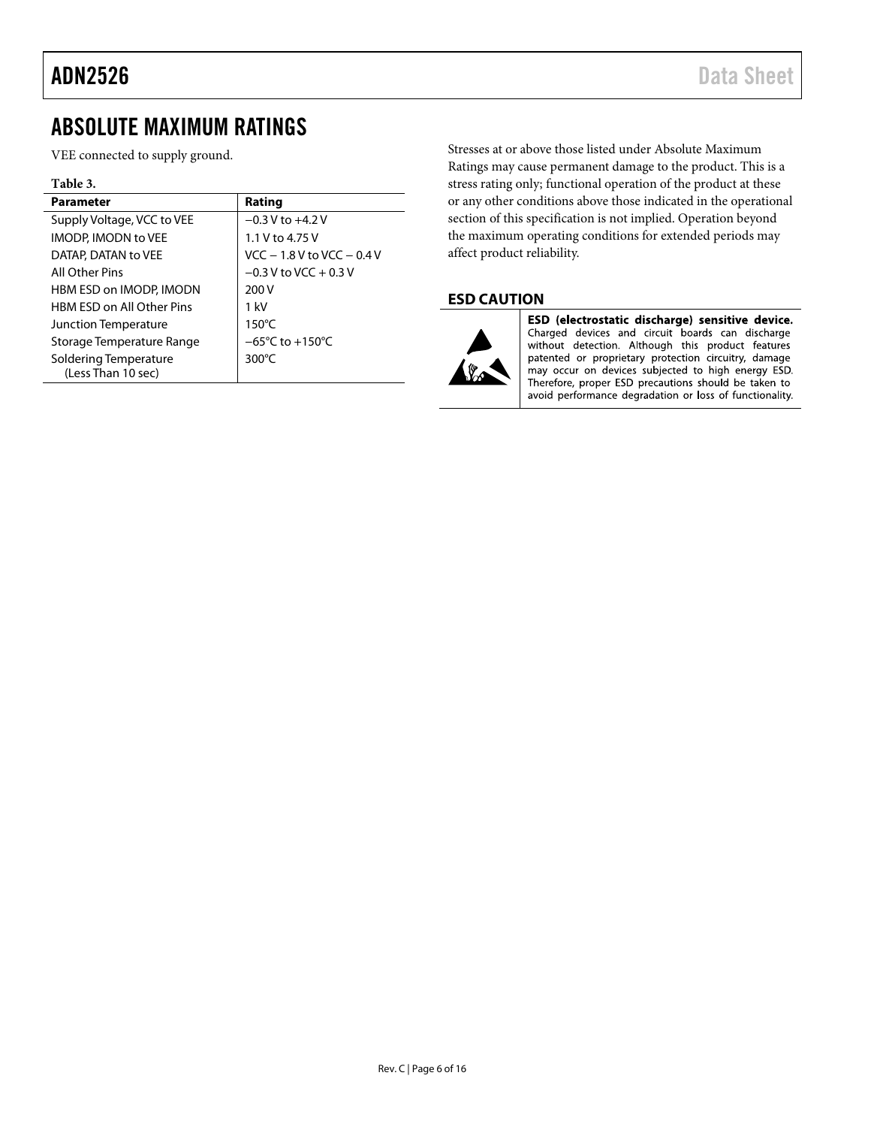### ADN2526 Data Sheet

### <span id="page-5-0"></span>ABSOLUTE MAXIMUM RATINGS

VEE connected to supply ground.

#### **Table 3.**

| <b>Parameter</b>                            | Rating                              |
|---------------------------------------------|-------------------------------------|
| Supply Voltage, VCC to VEE                  | $-0.3$ V to $+4.2$ V                |
| <b>IMODP. IMODN to VEE</b>                  | 1.1 V to 4.75 V                     |
| DATAP, DATAN to VEE                         | $VCC - 1.8 V to VCC - 0.4 V$        |
| All Other Pins                              | $-0.3$ V to VCC $+0.3$ V            |
| HBM ESD on IMODP, IMODN                     | 200 V                               |
| HBM FSD on All Other Pins                   | $1$ kV                              |
| Junction Temperature                        | $150^{\circ}$ C                     |
| Storage Temperature Range                   | $-65^{\circ}$ C to $+150^{\circ}$ C |
| Soldering Temperature<br>(Less Than 10 sec) | 300 $\degree$ C                     |

Stresses at or above those listed under Absolute Maximum Ratings may cause permanent damage to the product. This is a stress rating only; functional operation of the product at these or any other conditions above those indicated in the operational section of this specification is not implied. Operation beyond the maximum operating conditions for extended periods may affect product reliability.

### <span id="page-5-1"></span>**ESD CAUTION**



ESD (electrostatic discharge) sensitive device. Charged devices and circuit boards can discharge without detection. Although this product features patented or proprietary protection circuitry, damage may occur on devices subjected to high energy ESD. Therefore, proper ESD precautions should be taken to avoid performance degradation or loss of functionality.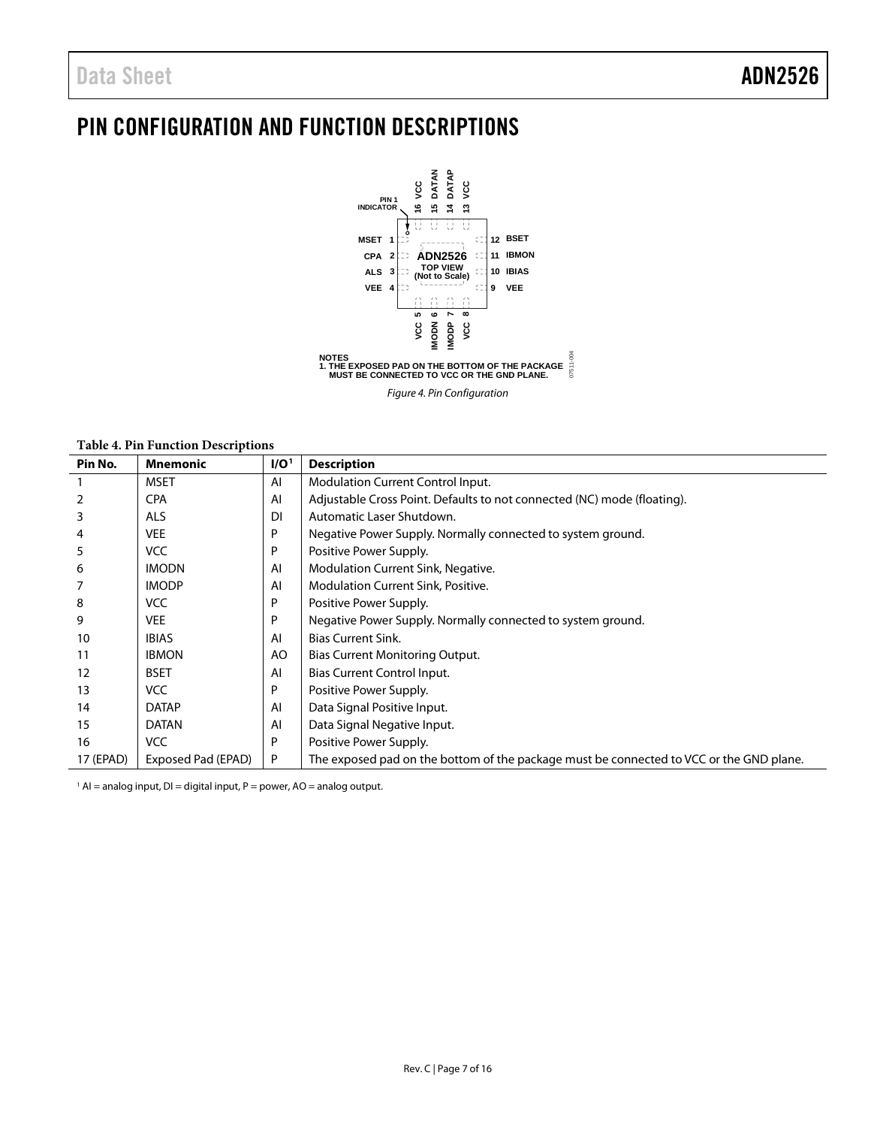## <span id="page-6-0"></span>PIN CONFIGURATION AND FUNCTION DESCRIPTIONS



*Figure 4. Pin Configuration*

<span id="page-6-1"></span>**Table 4. Pin Function Descriptions** 

| Pin No.   | <b>Mnemonic</b>    | I/O <sup>1</sup> | <b>Description</b>                                                                      |
|-----------|--------------------|------------------|-----------------------------------------------------------------------------------------|
|           | <b>MSET</b>        | AI               | <b>Modulation Current Control Input.</b>                                                |
| 2         | <b>CPA</b>         | AI               | Adjustable Cross Point. Defaults to not connected (NC) mode (floating).                 |
| 3         | <b>ALS</b>         | <b>DI</b>        | Automatic Laser Shutdown.                                                               |
| 4         | <b>VEE</b>         | P                | Negative Power Supply. Normally connected to system ground.                             |
| 5         | <b>VCC</b>         | P                | Positive Power Supply.                                                                  |
| 6         | <b>IMODN</b>       | AI               | Modulation Current Sink, Negative.                                                      |
|           | <b>IMODP</b>       | AI               | Modulation Current Sink, Positive.                                                      |
| 8         | <b>VCC</b>         | P                | Positive Power Supply.                                                                  |
| 9         | <b>VEE</b>         | P                | Negative Power Supply. Normally connected to system ground.                             |
| 10        | <b>IBIAS</b>       | AI               | <b>Bias Current Sink.</b>                                                               |
| 11        | <b>IBMON</b>       | AO               | Bias Current Monitoring Output.                                                         |
| 12        | <b>BSET</b>        | AI               | Bias Current Control Input.                                                             |
| 13        | <b>VCC</b>         | P                | Positive Power Supply.                                                                  |
| 14        | <b>DATAP</b>       | AI               | Data Signal Positive Input.                                                             |
| 15        | <b>DATAN</b>       | AI               | Data Signal Negative Input.                                                             |
| 16        | VCC                | P                | Positive Power Supply.                                                                  |
| 17 (EPAD) | Exposed Pad (EPAD) | P                | The exposed pad on the bottom of the package must be connected to VCC or the GND plane. |

 $1$  AI = analog input, DI = digital input, P = power, AO = analog output.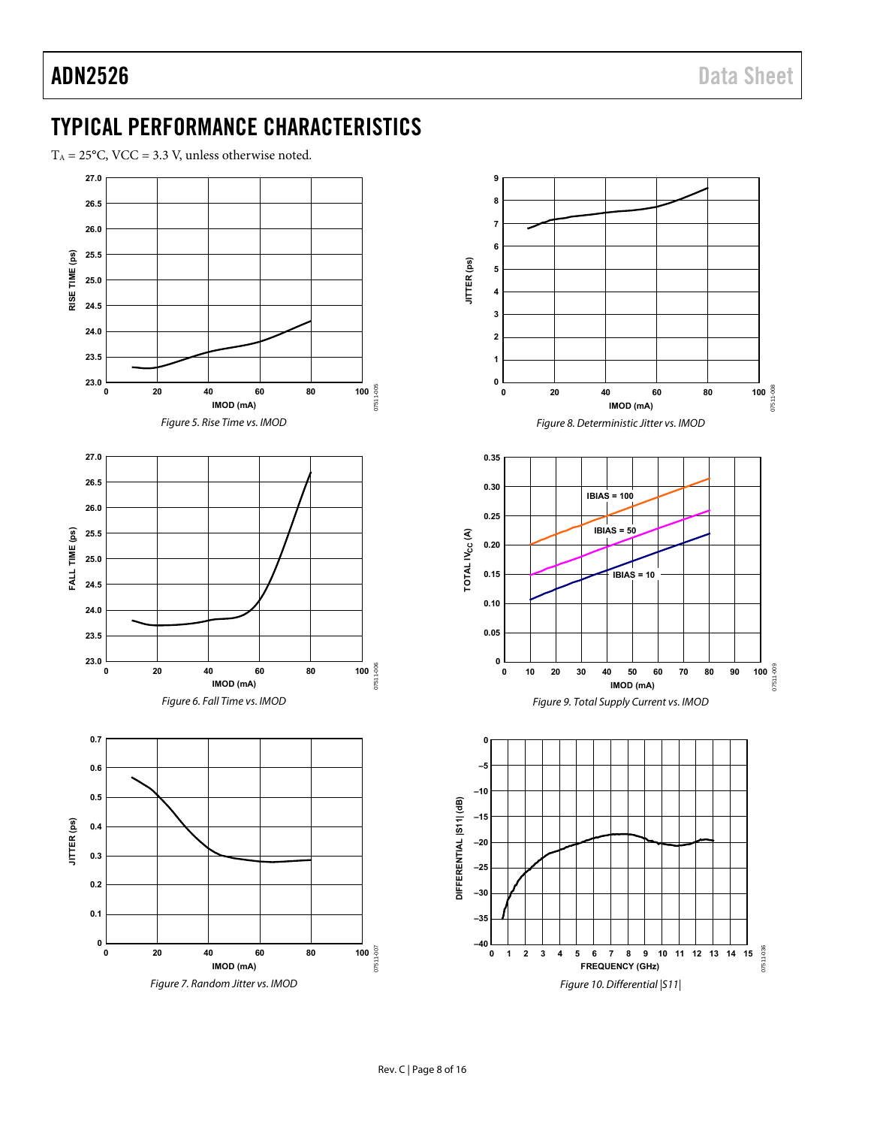## <span id="page-7-0"></span>TYPICAL PERFORMANCE CHARACTERISTICS

 $T_A = 25^{\circ}$ C, VCC = 3.3 V, unless otherwise noted.



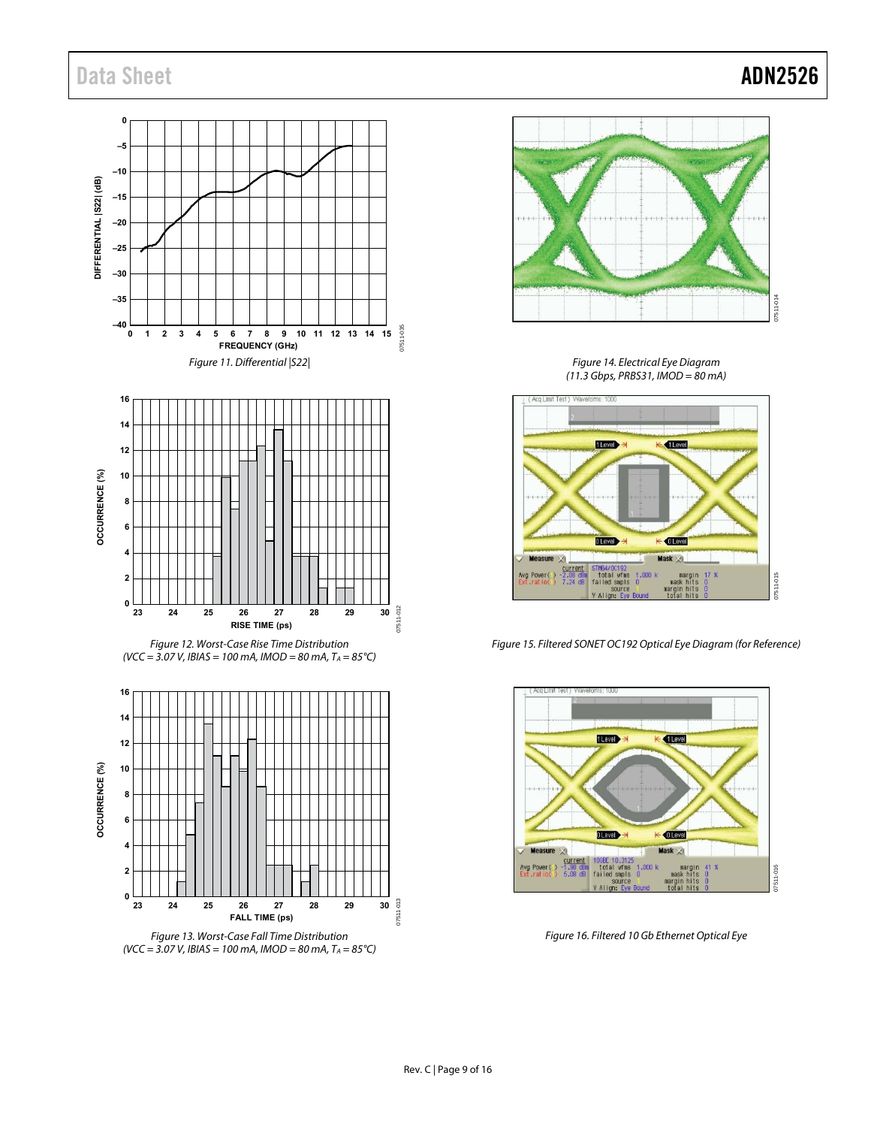### Data Sheet **ADN2526**







Figure 14. Electrical Eye Diagram (11.3 Gbps, PRBS31, IMOD = 80 mA)



<span id="page-8-0"></span>Figure 15. Filtered SONET OC192 Optical Eye Diagram (for Reference)



<span id="page-8-1"></span>Figure 16. Filtered 10 Gb Ethernet Optical Eye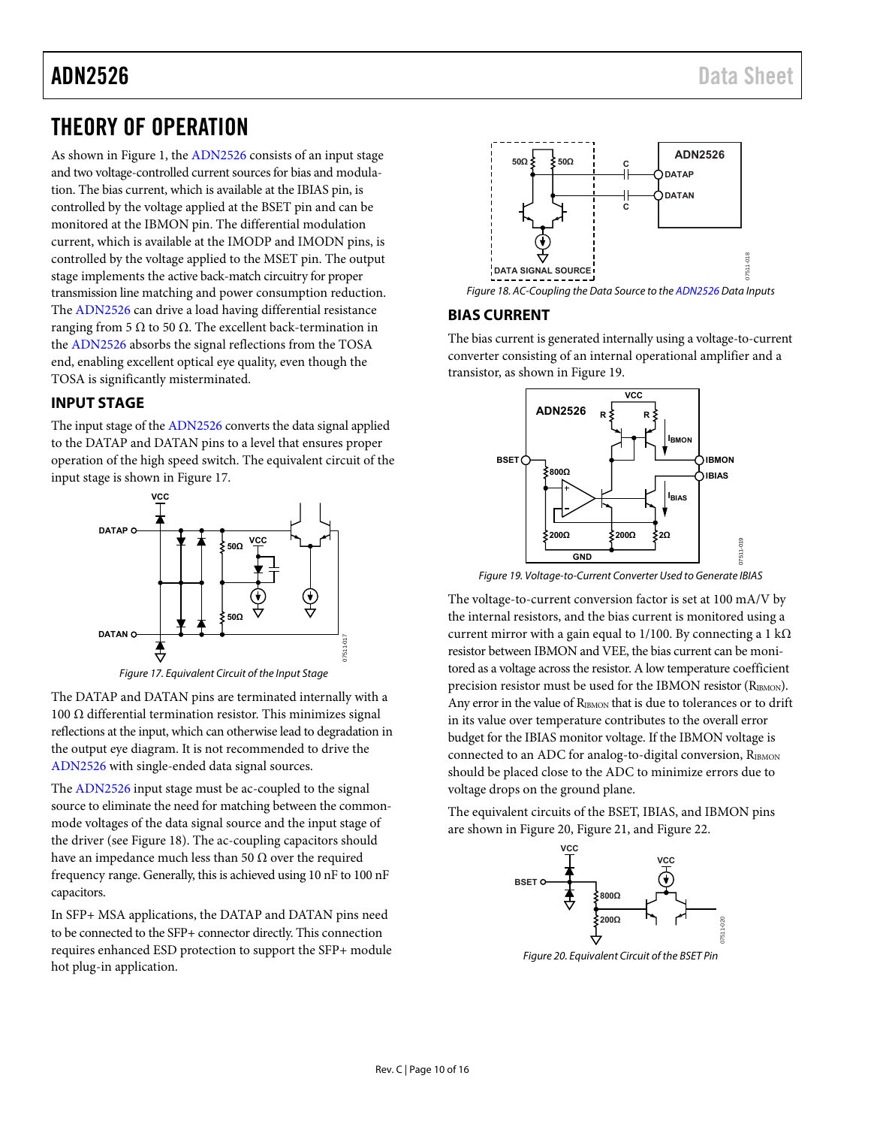### <span id="page-9-0"></span>THEORY OF OPERATION

As shown in [Figure 1,](#page-0-4) th[e ADN2526 c](http://www.analog.com/ADN2526?doc=ADN2526.pdf)onsists of an input stage and two voltage-controlled current sources for bias and modulation. The bias current, which is available at the IBIAS pin, is controlled by the voltage applied at the BSET pin and can be monitored at the IBMON pin. The differential modulation current, which is available at the IMODP and IMODN pins, is controlled by the voltage applied to the MSET pin. The output stage implements the active back-match circuitry for proper transmission line matching and power consumption reduction. The [ADN2526](http://www.analog.com/ADN2526?doc=ADN2526.pdf) can drive a load having differential resistance ranging from 5 Ω to 50 Ω. The excellent back-termination in the [ADN2526](http://www.analog.com/ADN2526?doc=ADN2526.pdf) absorbs the signal reflections from the TOSA end, enabling excellent optical eye quality, even though the TOSA is significantly misterminated.

### <span id="page-9-1"></span>**INPUT STAGE**

The input stage of th[e ADN2526](http://www.analog.com/ADN2526?doc=ADN2526.pdf) converts the data signal applied to the DATAP and DATAN pins to a level that ensures proper operation of the high speed switch. The equivalent circuit of the input stage is shown i[n Figure 17.](#page-9-3)



Figure 17. Equivalent Circuit of the Input Stage

<span id="page-9-3"></span>The DATAP and DATAN pins are terminated internally with a 100 Ω differential termination resistor. This minimizes signal reflections at the input, which can otherwise lead to degradation in the output eye diagram. It is not recommended to drive the [ADN2526 w](http://www.analog.com/ADN2526?doc=ADN2526.pdf)ith single-ended data signal sources.

The [ADN2526 i](http://www.analog.com/ADN2526?doc=ADN2526.pdf)nput stage must be ac-coupled to the signal source to eliminate the need for matching between the commonmode voltages of the data signal source and the input stage of the driver (se[e Figure 18\)](#page-9-4). The ac-coupling capacitors should have an impedance much less than 50  $\Omega$  over the required frequency range. Generally, this is achieved using 10 nF to 100 nF capacitors.

In SFP+ MSA applications, the DATAP and DATAN pins need to be connected to the SFP+ connector directly. This connection requires enhanced ESD protection to support the SFP+ module hot plug-in application.



### <span id="page-9-4"></span><span id="page-9-2"></span>**BIAS CURRENT**

The bias current is generated internally using a voltage-to-current converter consisting of an internal operational amplifier and a transistor, as shown i[n Figure 19.](#page-9-5) 



Figure 19. Voltage-to-Current Converter Used to Generate IBIAS

<span id="page-9-5"></span>The voltage-to-current conversion factor is set at 100 mA/V by the internal resistors, and the bias current is monitored using a current mirror with a gain equal to 1/100. By connecting a 1 k $\Omega$ resistor between IBMON and VEE, the bias current can be monitored as a voltage across the resistor. A low temperature coefficient precision resistor must be used for the IBMON resistor (R<sub>IBMON</sub>). Any error in the value of R<sub>IBMON</sub> that is due to tolerances or to drift in its value over temperature contributes to the overall error budget for the IBIAS monitor voltage. If the IBMON voltage is connected to an ADC for analog-to-digital conversion,  $R_{IBMON}$ should be placed close to the ADC to minimize errors due to voltage drops on the ground plane.

The equivalent circuits of the BSET, IBIAS, and IBMON pins are shown i[n Figure 20,](#page-9-6) [Figure 21,](#page-10-2) and [Figure 22.](#page-10-3) 



<span id="page-9-6"></span>Figure 20. Equivalent Circuit of the BSET Pin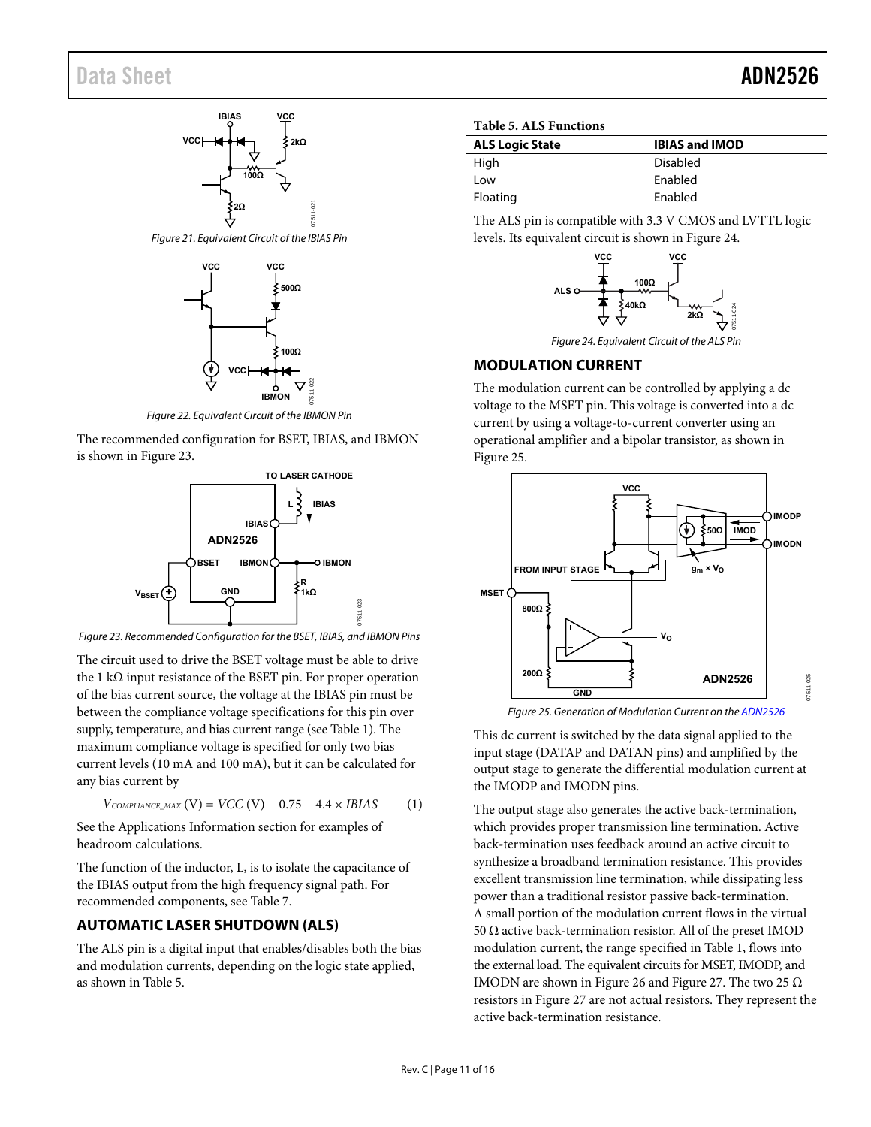### Data Sheet **ADN2526**



<span id="page-10-2"></span>Figure 21. Equivalent Circuit of the IBIAS Pin



Figure 22. Equivalent Circuit of the IBMON Pin

<span id="page-10-3"></span>The recommended configuration for BSET, IBIAS, and IBMON is shown in [Figure 23.](#page-10-4) 



<span id="page-10-4"></span>Figure 23. Recommended Configuration for the BSET, IBIAS, and IBMON Pins

The circuit used to drive the BSET voltage must be able to drive the 1 kΩ input resistance of the BSET pin. For proper operation of the bias current source, the voltage at the IBIAS pin must be between the compliance voltage specifications for this pin over supply, temperature, and bias current range (se[e Table 1\)](#page-2-1). The maximum compliance voltage is specified for only two bias current levels (10 mA and 100 mA), but it can be calculated for any bias current by

$$
V_{COMPLIANCE\_MAX} (V) = VCC (V) - 0.75 - 4.4 \times IBIAS
$$
 (1)

See the [Applications Information s](#page-13-0)ection for examples of headroom calculations.

The function of the inductor, L, is to isolate the capacitance of the IBIAS output from the high frequency signal path. For recommended components, see [Table 7.](#page-13-3)

### <span id="page-10-0"></span>**AUTOMATIC LASER SHUTDOWN (ALS)**

The ALS pin is a digital input that enables/disables both the bias and modulation currents, depending on the logic state applied, as shown i[n Table 5.](#page-10-5) 

<span id="page-10-5"></span>

|  | <b>Table 5. ALS Functions</b> |
|--|-------------------------------|
|--|-------------------------------|

| <b>ALS Logic State</b> | <b>IBIAS and IMOD</b> |
|------------------------|-----------------------|
| High                   | Disabled              |
| Low                    | Enabled               |
| Floating               | Enabled               |

The ALS pin is compatible with 3.3 V CMOS and LVTTL logic levels. Its equivalent circuit is shown i[n Figure 24.](#page-10-6)



Figure 24. Equivalent Circuit of the ALS Pin

### <span id="page-10-6"></span><span id="page-10-1"></span>**MODULATION CURRENT**

The modulation current can be controlled by applying a dc voltage to the MSET pin. This voltage is converted into a dc current by using a voltage-to-current converter using an operational amplifier and a bipolar transistor, as shown in [Figure 25.](#page-10-7) 



Figure 25. Generation of Modulation Current on th[e ADN2526](http://www.analog.com/ADN2526?doc=ADN2526.pdf) 

<span id="page-10-7"></span>This dc current is switched by the data signal applied to the input stage (DATAP and DATAN pins) and amplified by the output stage to generate the differential modulation current at the IMODP and IMODN pins.

The output stage also generates the active back-termination, which provides proper transmission line termination. Active back-termination uses feedback around an active circuit to synthesize a broadband termination resistance. This provides excellent transmission line termination, while dissipating less power than a traditional resistor passive back-termination. A small portion of the modulation current flows in the virtual 50 Ω active back-termination resistor. All of the preset IMOD modulation current, the range specified i[n Table 1,](#page-2-1) flows into the external load. The equivalent circuits for MSET, IMODP, and IMODN are shown i[n Figure 26](#page-11-2) an[d Figure 27.](#page-11-3) The two 25  $\Omega$ resistors i[n Figure 27](#page-11-3) are not actual resistors. They represent the active back-termination resistance.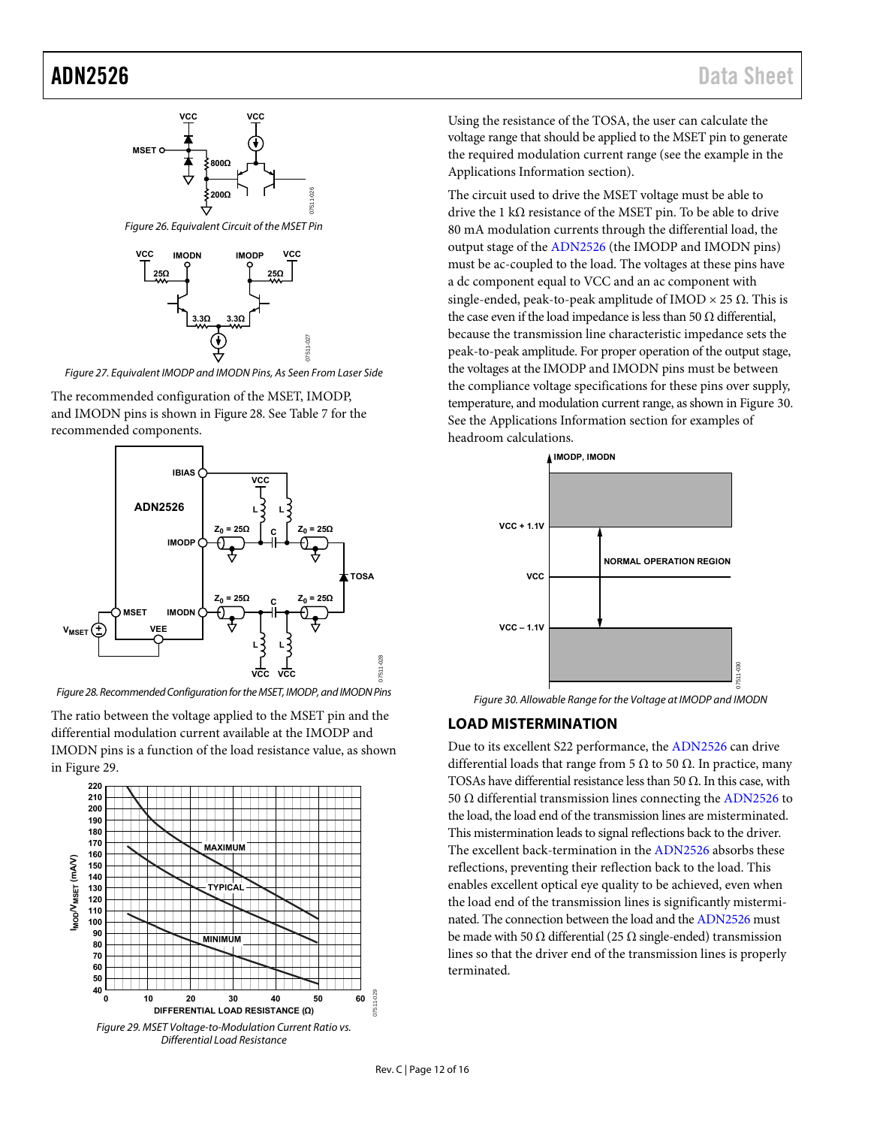

<span id="page-11-2"></span>

<span id="page-11-3"></span>Figure 27. Equivalent IMODP and IMODN Pins, As Seen From Laser Side

The recommended configuration of the MSET, IMODP, and IMODN pins is shown i[n Figure 28.](#page-11-4) Se[e Table 7 f](#page-13-3)or the recommended components.



<span id="page-11-4"></span>Figure 28. Recommended Configuration for the MSET, IMODP, and IMODN Pins

The ratio between the voltage applied to the MSET pin and the differential modulation current available at the IMODP and IMODN pins is a function of the load resistance value, as shown in [Figure 29.](#page-11-1) 

<span id="page-11-1"></span>

Using the resistance of the TOSA, the user can calculate the voltage range that should be applied to the MSET pin to generate the required modulation current range (see the example in the [Applications Information s](#page-13-0)ection).

The circuit used to drive the MSET voltage must be able to drive the 1 kΩ resistance of the MSET pin. To be able to drive 80 mA modulation currents through the differential load, the output stage of th[e ADN2526](http://www.analog.com/ADN2526?doc=ADN2526.pdf) (the IMODP and IMODN pins) must be ac-coupled to the load. The voltages at these pins have a dc component equal to VCC and an ac component with single-ended, peak-to-peak amplitude of IMOD  $\times$  25  $\Omega$ . This is the case even if the load impedance is less than 50  $\Omega$  differential, because the transmission line characteristic impedance sets the peak-to-peak amplitude. For proper operation of the output stage, the voltages at the IMODP and IMODN pins must be between the compliance voltage specifications for these pins over supply, temperature, and modulation current range, as shown i[n Figure 30.](#page-11-5)  See the [Applications Information s](#page-13-0)ection for examples of headroom calculations.



Figure 30. Allowable Range for the Voltage at IMODP and IMODN

### <span id="page-11-5"></span><span id="page-11-0"></span>**LOAD MISTERMINATION**

Due to its excellent S22 performance, th[e ADN2526](http://www.analog.com/ADN2526?doc=ADN2526.pdf) can drive differential loads that range from 5  $Ω$  to 50  $Ω$ . In practice, many TOSAs have differential resistance less than 50  $\Omega$ . In this case, with 50 Ω differential transmission lines connecting the [ADN2526 t](http://www.analog.com/ADN2526?doc=ADN2526.pdf)o the load, the load end of the transmission lines are misterminated. This mistermination leads to signal reflections back to the driver. The excellent back-termination in th[e ADN2526](http://www.analog.com/ADN2526?doc=ADN2526.pdf) absorbs these reflections, preventing their reflection back to the load. This enables excellent optical eye quality to be achieved, even when the load end of the transmission lines is significantly misterminated. The connection between the load and th[e ADN2526 m](http://www.analog.com/ADN2526?doc=ADN2526.pdf)ust be made with 50  $\Omega$  differential (25  $\Omega$  single-ended) transmission lines so that the driver end of the transmission lines is properly terminated.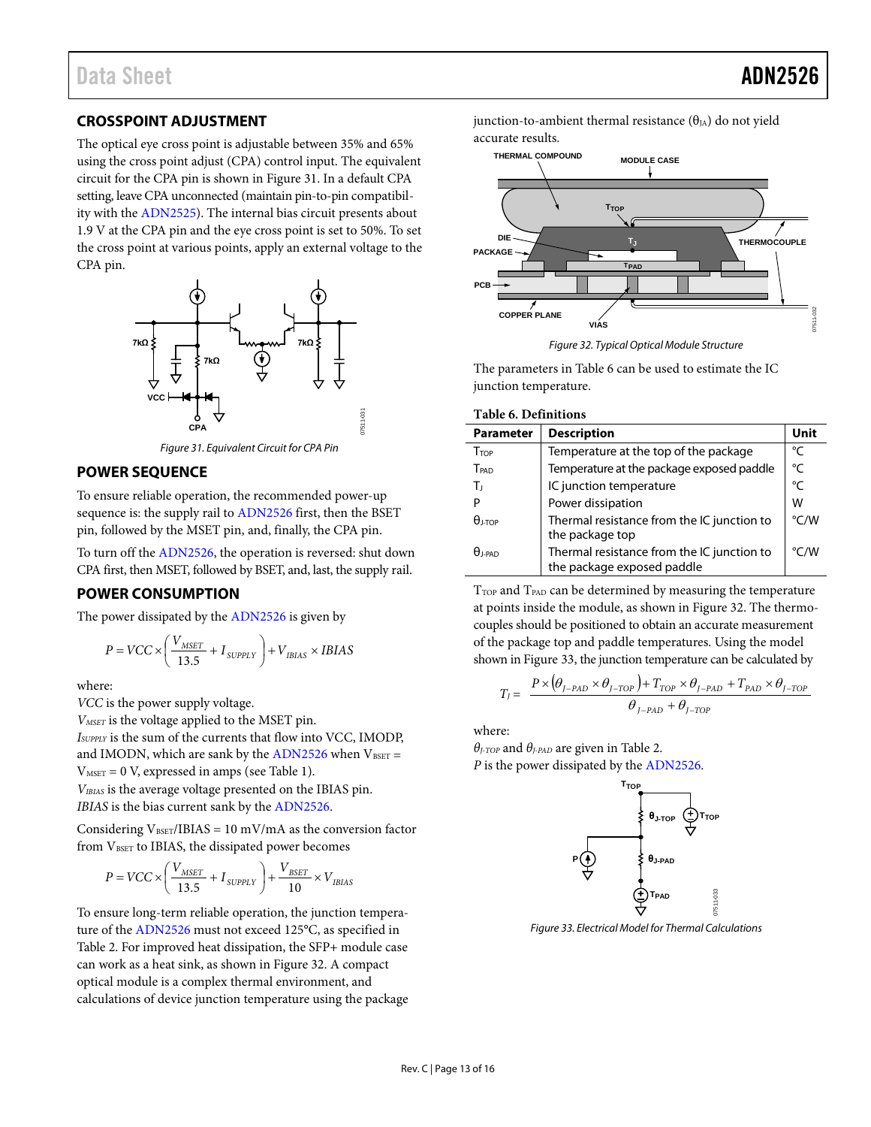### <span id="page-12-0"></span>**CROSSPOINT ADJUSTMENT**

The optical eye cross point is adjustable between 35% and 65% using the cross point adjust (CPA) control input. The equivalent circuit for the CPA pin is shown i[n Figure 31.](#page-12-3) In a default CPA setting, leave CPA unconnected (maintain pin-to-pin compatibility with the [ADN2525\)](http://www.analog.com/ADN2525?doc=ADN2526.pdf). The internal bias circuit presents about 1.9 V at the CPA pin and the eye cross point is set to 50%. To set the cross point at various points, apply an external voltage to the CPA pin.



*Figure 31. Equivalent Circuit for CPA Pin*

#### <span id="page-12-3"></span><span id="page-12-1"></span>**POWER SEQUENCE**

To ensure reliable operation, the recommended power-up sequence is: the supply rail to [ADN2526](http://www.analog.com/ADN2526?doc=ADN2526.pdf) first, then the BSET pin, followed by the MSET pin, and, finally, the CPA pin.

To turn off th[e ADN2526,](http://www.analog.com/ADN2526?doc=ADN2526.pdf) the operation is reversed: shut down CPA first, then MSET, followed by BSET, and, last, the supply rail.

#### <span id="page-12-2"></span>**POWER CONSUMPTION**

The power dissipated by th[e ADN2526](http://www.analog.com/ADN2526?doc=ADN2526.pdf) is given by

$$
P = VCC \times \left(\frac{V_{MSET}}{13.5} + I_{\text{SUPPLY}}\right) + V_{IBIAS} \times IBIAS
$$

where:

*VCC* is the power supply voltage.

*VMSET* is the voltage applied to the MSET pin.

*ISUPPLY* is the sum of the currents that flow into VCC, IMODP, and IMODN, which are sank by th[e ADN2526](http://www.analog.com/ADN2526?doc=ADN2526.pdf) when  $V_{\text{BSET}} =$ 

 $V<sub>MSET</sub> = 0 V$ , expressed in amps (se[e Table 1\)](#page-2-1). *VIBIAS* is the average voltage presented on the IBIAS pin.

*IBIAS* is the bias current sank by the [ADN2526.](http://www.analog.com/ADN2526?doc=ADN2526.pdf)

Considering  $V_{\text{BSET}}/IBIAS = 10 \text{ mV/mA}$  as the conversion factor from VBSET to IBIAS, the dissipated power becomes

$$
P = VCC \times \left(\frac{V_{MSET}}{13.5} + I_{\textit{SUPPLY}}\right) + \frac{V_{\textit{BSET}}}{10} \times V_{\textit{IBIAS}}
$$

To ensure long-term reliable operation, the junction temperature of th[e ADN2526](http://www.analog.com/ADN2526?doc=ADN2526.pdf) must not exceed 125°C, as specified in [Table](#page-3-3) 2. For improved heat dissipation, the SFP+ module case can work as a heat sink, as shown i[n Figure 32.](#page-12-4) A compact optical module is a complex thermal environment, and calculations of device junction temperature using the package junction-to-ambient thermal resistance  $(\theta_{IA})$  do not yield accurate results.



*Figure 32. Typical Optical Module Structure*

<span id="page-12-4"></span>The parameters i[n Table 6](#page-12-5) can be used to estimate the IC junction temperature.

<span id="page-12-5"></span>**Table 6. Definitions**

| <b>Parameter</b> | <b>Description</b>                                                       | Unit          |
|------------------|--------------------------------------------------------------------------|---------------|
| TTOP             | Temperature at the top of the package                                    | °C            |
| TPAD             | Temperature at the package exposed paddle                                | °C            |
| Тı               | IC junction temperature                                                  | °C            |
| P                | Power dissipation                                                        | W             |
| $\theta$ i-top   | Thermal resistance from the IC junction to<br>the package top            | $\degree$ C/W |
| $\theta$ j-pad   | Thermal resistance from the IC junction to<br>the package exposed paddle | °C/W          |

 $T<sub>TOP</sub>$  and  $T<sub>PAD</sub>$  can be determined by measuring the temperature at points inside the module, as shown in [Figure 32.](#page-12-4) The thermocouples should be positioned to obtain an accurate measurement of the package top and paddle temperatures. Using the model shown i[n Figure 33,](#page-12-6) the junction temperature can be calculated by

$$
T_{J} = \frac{P \times (\theta_{J-PAD} \times \theta_{J-TOP}) + T_{TOP} \times \theta_{J-PAD} + T_{PAD} \times \theta_{J-TOP}}{\theta_{J-PAD} + \theta_{J-TOP}}
$$

where:

*θJ-TOP* and *θJ-PAD* are given i[n Table 2.](#page-3-3)  *P* is the power dissipated by the [ADN2526.](http://www.analog.com/ADN2526?doc=ADN2526.pdf)



<span id="page-12-6"></span>*Figure 33. Electrical Model for Thermal Calculations*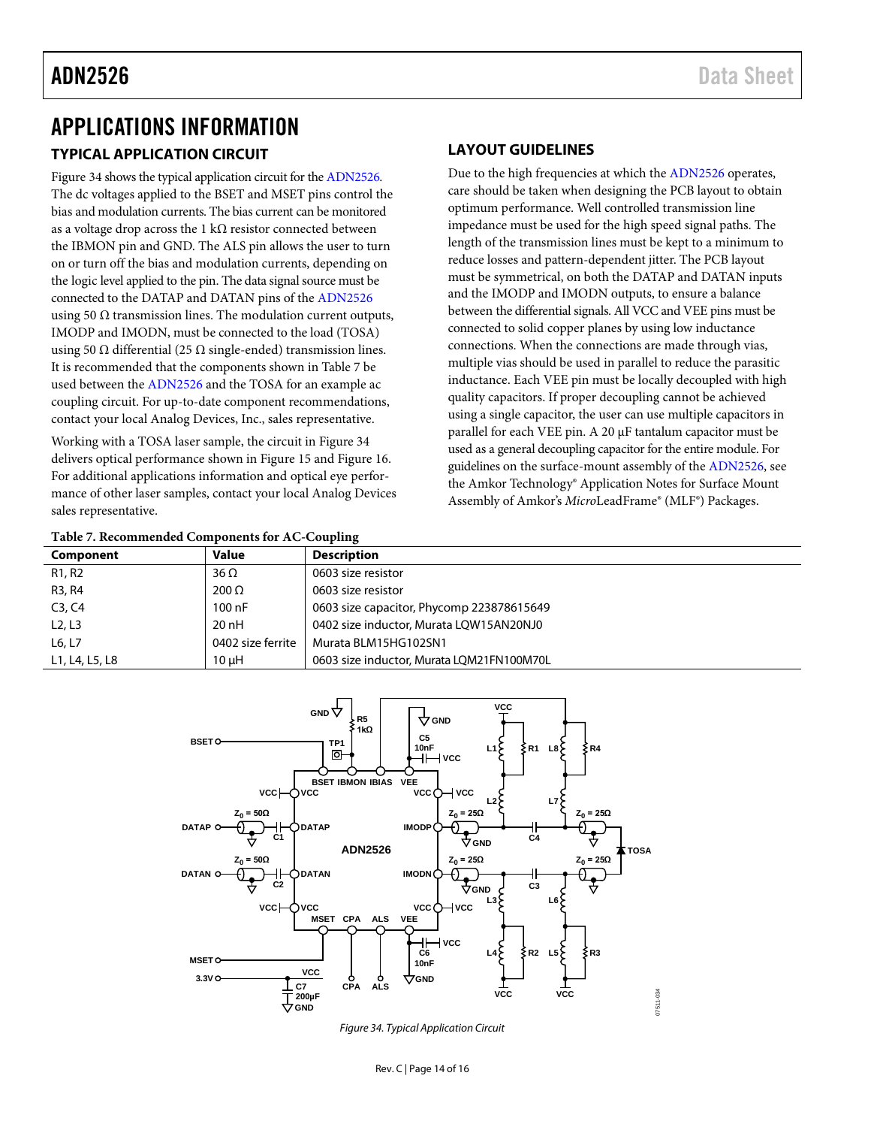### <span id="page-13-0"></span>APPLICATIONS INFORMATION **TYPICAL APPLICATION CIRCUIT**

<span id="page-13-1"></span>[Figure 34](#page-13-4) shows the typical application circuit for th[e ADN2526.](http://www.analog.com/ADN2526?doc=ADN2526.pdf) The dc voltages applied to the BSET and MSET pins control the bias and modulation currents. The bias current can be monitored as a voltage drop across the 1 k $\Omega$  resistor connected between the IBMON pin and GND. The ALS pin allows the user to turn on or turn off the bias and modulation currents, depending on the logic level applied to the pin. The data signal source must be connected to the DATAP and DATAN pins of th[e ADN2526](http://www.analog.com/ADN2526?doc=ADN2526.pdf) using 50  $\Omega$  transmission lines. The modulation current outputs, IMODP and IMODN, must be connected to the load (TOSA) using 50 Ω differential (25 Ω single-ended) transmission lines. It is recommended that the components shown i[n Table 7](#page-13-3) be used between the [ADN2526](http://www.analog.com/ADN2526?doc=ADN2526.pdf) and the TOSA for an example ac coupling circuit. For up-to-date component recommendations, contact your local Analog Devices, Inc., sales representative.

Working with a TOSA laser sample, the circuit in [Figure 34](#page-13-4) delivers optical performance shown in [Figure 15](#page-8-0) an[d Figure 16.](#page-8-1) For additional applications information and optical eye performance of other laser samples, contact your local Analog Devices sales representative.

### <span id="page-13-2"></span>**LAYOUT GUIDELINES**

Due to the high frequencies at which the [ADN2526](http://www.analog.com/ADN2526?doc=ADN2526.pdf) operates, care should be taken when designing the PCB layout to obtain optimum performance. Well controlled transmission line impedance must be used for the high speed signal paths. The length of the transmission lines must be kept to a minimum to reduce losses and pattern-dependent jitter. The PCB layout must be symmetrical, on both the DATAP and DATAN inputs and the IMODP and IMODN outputs, to ensure a balance between the differential signals. All VCC and VEE pins must be connected to solid copper planes by using low inductance connections. When the connections are made through vias, multiple vias should be used in parallel to reduce the parasitic inductance. Each VEE pin must be locally decoupled with high quality capacitors. If proper decoupling cannot be achieved using a single capacitor, the user can use multiple capacitors in parallel for each VEE pin. A 20 µF tantalum capacitor must be used as a general decoupling capacitor for the entire module. For guidelines on the surface-mount assembly of th[e ADN2526,](http://www.analog.com/ADN2526?doc=ADN2526.pdf) see the Amkor Technology® Application Notes for Surface Mount Assembly of Amkor's *Micro*LeadFrame® (MLF®) Packages.

<span id="page-13-3"></span>

| Table 7. Recommended Components for AC-Coupling |                   |                                           |  |  |  |
|-------------------------------------------------|-------------------|-------------------------------------------|--|--|--|
| Component                                       | Value             | <b>Description</b>                        |  |  |  |
| R1, R2                                          | $36 \Omega$       | 0603 size resistor                        |  |  |  |
| R3, R4                                          | $200 \Omega$      | 0603 size resistor                        |  |  |  |
| C3, C4                                          | 100nF             | 0603 size capacitor, Phycomp 223878615649 |  |  |  |
| L <sub>2</sub> , L <sub>3</sub>                 | $20$ nH           | 0402 size inductor, Murata LQW15AN20NJ0   |  |  |  |
| L6, L7                                          | 0402 size ferrite | Murata BLM15HG102SN1                      |  |  |  |
| L1, L4, L5, L8                                  | $10 \mu H$        | 0603 size inductor. Murata LOM21FN100M70L |  |  |  |



<span id="page-13-4"></span>*Figure 34. Typical Application Circuit*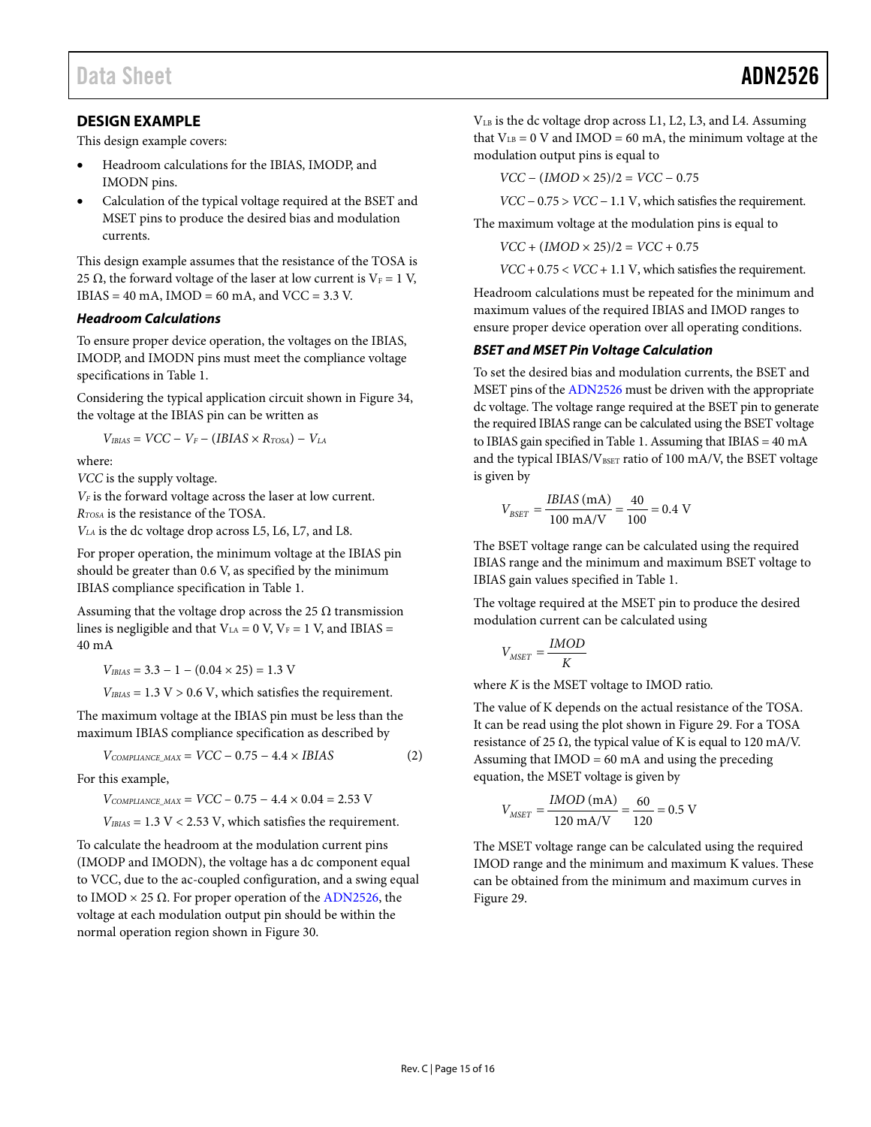### <span id="page-14-0"></span>**DESIGN EXAMPLE**

This design example covers:

- Headroom calculations for the IBIAS, IMODP, and IMODN pins.
- Calculation of the typical voltage required at the BSET and MSET pins to produce the desired bias and modulation currents.

This design example assumes that the resistance of the TOSA is 25  $\Omega$ , the forward voltage of the laser at low current is  $V_F = 1$  V,  $IBIAS = 40$  mA,  $IMOD = 60$  mA, and  $VCC = 3.3$  V.

#### *Headroom Calculations*

To ensure proper device operation, the voltages on the IBIAS, IMODP, and IMODN pins must meet the compliance voltage specifications i[n Table 1.](#page-2-1)

Considering the typical application circuit shown in [Figure 34,](#page-13-4)  the voltage at the IBIAS pin can be written as

$$
V_{IBIAS} = VCC - V_F - (IBIAS \times R_{TOSA}) - V_{LA}
$$

where:

*VCC* is the supply voltage.

*VF* is the forward voltage across the laser at low current.

*RTOSA* is the resistance of the TOSA.

*VLA* is the dc voltage drop across L5, L6, L7, and L8.

For proper operation, the minimum voltage at the IBIAS pin should be greater than 0.6 V, as specified by the minimum IBIAS compliance specification i[n Table 1.](#page-2-1)

Assuming that the voltage drop across the 25  $\Omega$  transmission lines is negligible and that  $V_{LA} = 0$  V,  $V_F = 1$  V, and IBIAS = 40 mA

 $V_{IBIAS} = 3.3 - 1 - (0.04 \times 25) = 1.3$  V

 $V_{IBIAS} = 1.3 \text{ V} > 0.6 \text{ V}$ , which satisfies the requirement.

The maximum voltage at the IBIAS pin must be less than the maximum IBIAS compliance specification as described by

$$
V_{COMPLANCE\_MAX} = VCC - 0.75 - 4.4 \times IBIAS \qquad (2)
$$

For this example,

 $V_{COMPLIANCE\_MAX}$  =  $VCC - 0.75 - 4.4 \times 0.04 = 2.53$  V

 $V_{IBIAS} = 1.3 \text{ V} < 2.53 \text{ V}$ , which satisfies the requirement.

To calculate the headroom at the modulation current pins (IMODP and IMODN), the voltage has a dc component equal to VCC, due to the ac-coupled configuration, and a swing equal to IMOD  $\times$  25  $\Omega$ . For proper operation of th[e ADN2526,](http://www.analog.com/ADN2526?doc=ADN2526.pdf) the voltage at each modulation output pin should be within the normal operation region shown i[n Figure 30.](#page-11-5)

VLB is the dc voltage drop across L1, L2, L3, and L4. Assuming that  $V_{LB} = 0$  V and IMOD = 60 mA, the minimum voltage at the modulation output pins is equal to

*VCC* − (*IMOD* × 25)/2 = *VCC* − 0.75

*VCC* − 0.75 > *VCC* − 1.1 V, which satisfies the requirement.

The maximum voltage at the modulation pins is equal to

 $VCC + (IMOD \times 25)/2 = VCC + 0.75$ 

*VCC* + 0.75 < *VCC* + 1.1 V, which satisfies the requirement.

Headroom calculations must be repeated for the minimum and maximum values of the required IBIAS and IMOD ranges to ensure proper device operation over all operating conditions.

#### *BSET and MSET Pin Voltage Calculation*

To set the desired bias and modulation currents, the BSET and MSET pins of th[e ADN2526](http://www.analog.com/ADN2526?doc=ADN2526.pdf) must be driven with the appropriate dc voltage. The voltage range required at the BSET pin to generate the required IBIAS range can be calculated using the BSET voltage to IBIAS gain specified i[n Table 1.](#page-2-1) Assuming that IBIAS = 40 mA and the typical IBIAS/V<sub>BSET</sub> ratio of 100 mA/V, the BSET voltage is given by

$$
V_{BSET} = \frac{IBIAS \text{ (mA)}}{100 \text{ mA/V}} = \frac{40}{100} = 0.4 \text{ V}
$$

The BSET voltage range can be calculated using the required IBIAS range and the minimum and maximum BSET voltage to IBIAS gain values specified i[n Table 1.](#page-2-1)

The voltage required at the MSET pin to produce the desired modulation current can be calculated using

$$
V_{MSET} = \frac{IMOD}{K}
$$

where *K* is the MSET voltage to IMOD ratio.

The value of K depends on the actual resistance of the TOSA. It can be read using the plot shown i[n Figure 29.](#page-11-1) For a TOSA resistance of 25  $\Omega$ , the typical value of K is equal to 120 mA/V. Assuming that IMOD = 60 mA and using the preceding equation, the MSET voltage is given by

$$
V_{MSET} = \frac{IMOD \text{ (mA)}}{120 \text{ mA/V}} = \frac{60}{120} = 0.5 \text{ V}
$$

The MSET voltage range can be calculated using the required IMOD range and the minimum and maximum K values. These can be obtained from the minimum and maximum curves in [Figure 29.](#page-11-1)